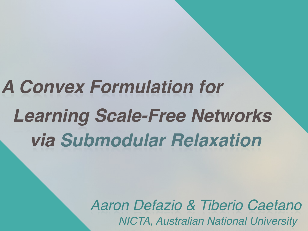## *A Convex Formulation for Learning Scale-Free Networks via Submodular Relaxation*

*Aaron Defazio & Tiberio Caetano NICTA, Australian National University*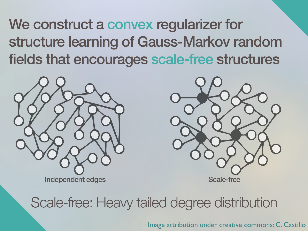We construct a convex regularizer for structure learning of Gauss-Markov random fields that encourages scale-free structures





### Scale-free: Heavy tailed degree distribution

Image attribution under creative commons: C. Castillo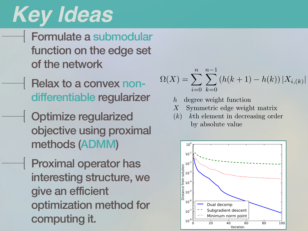#### *Key Ideas* of *F*(Supp(*X*)) on the *L*<sup>1</sup> ball is precisely the Lovasz extension evaluated on ´ *|X|*. The Lovasz  $\epsilon$  for our function is easy to determine as it is a sum of  $\epsilon$  functions of  $\epsilon$ considered in [2]. Below is the result from [2] adapted to our problem.

Formulate a submodular function on the edge set **For the natural ordering, with the convex envelope of** *Foreign* $f(x) = f(x)$ *Foreign* $f(x) = f(x)$ *for*  $f(x) = f(x)$  *and*  $f(x) = f(x)$  *and*  $f(x) = f(x)$  *and*  $f(x) = f(x)$  *and*  $f(x) = f(x)$  *and*  $f(x) = f(x)$  *and*  $f(x) = f(x)$  *and* of the network Proposition 2. *Let Xi,*(*j*) *be the weight of the jth edge connected to i, under a decreasing ordering by absolute value (i.e |Xi,*(0)*| |Xi,*(1)*| ... |Xi,*(*n*1)*|). The notation* (*i*) *maps from sorted tractable h over the L*<sup>1</sup> *norm unit ball is:*

Relax to a convex nondifferentiable regularizer blood is a *h* degree weight

Optimize regularized objective using proximal methods (ADMM) 5 (ADIVIIVI)

Proximal operator has We are interested in using ⌦ as a prior, for optimizations of the form interesting structure, we give an efficient optimization method for computing it. uoli meurod ior

$$
\Omega(X) = \sum_{i=0}^{n} \sum_{k=0}^{n-1} (h(k+1) - h(k)) |X_{i,(k)}|
$$

- *h* degree weight function *h* degree weight function
- *X* Symmetric edge weight matrix *X* Symmetric edge weight matrix
- $\textbf{P}$  **requilarized**  $(k)$  *k*th element in decreasing order by absolute value